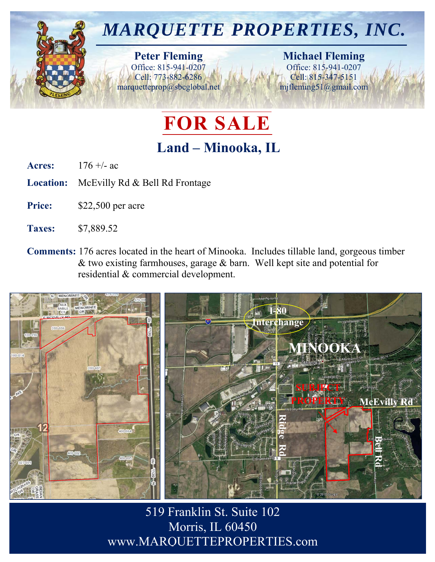

## **FOR SALE**

## **Land – Minooka, IL**

**Acres:** 176 +/- ac

**Location:** McEvilly Rd & Bell Rd Frontage

Price: \$22,500 per acre

**Taxes:** \$7,889.52

**Comments:** 176 acres located in the heart of Minooka. Includes tillable land, gorgeous timber & two existing farmhouses, garage & barn. Well kept site and potential for residential & commercial development.



519 Franklin St. Suite 102 Morris, IL 60450 www.MARQUETTEPROPERTIES.com